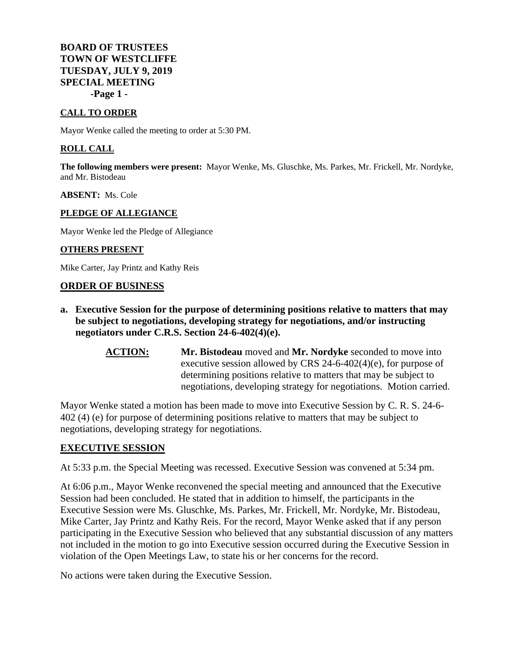## **BOARD OF TRUSTEES TOWN OF WESTCLIFFE TUESDAY, JULY 9, 2019 SPECIAL MEETING -Page 1 -**

### **CALL TO ORDER**

Mayor Wenke called the meeting to order at 5:30 PM.

#### **ROLL CALL**

**The following members were present:** Mayor Wenke, Ms. Gluschke, Ms. Parkes, Mr. Frickell, Mr. Nordyke, and Mr. Bistodeau

#### **ABSENT:** Ms. Cole

#### **PLEDGE OF ALLEGIANCE**

Mayor Wenke led the Pledge of Allegiance

#### **OTHERS PRESENT**

Mike Carter, Jay Printz and Kathy Reis

#### **ORDER OF BUSINESS**

- **a. Executive Session for the purpose of determining positions relative to matters that may be subject to negotiations, developing strategy for negotiations, and/or instructing negotiators under C.R.S. Section 24-6-402(4)(e).**
	- **ACTION: Mr. Bistodeau** moved and **Mr. Nordyke** seconded to move into executive session allowed by CRS 24-6-402(4)(e), for purpose of determining positions relative to matters that may be subject to negotiations, developing strategy for negotiations. Motion carried.

Mayor Wenke stated a motion has been made to move into Executive Session by C. R. S. 24-6- 402 (4) (e) for purpose of determining positions relative to matters that may be subject to negotiations, developing strategy for negotiations.

## **EXECUTIVE SESSION**

At 5:33 p.m. the Special Meeting was recessed. Executive Session was convened at 5:34 pm.

At 6:06 p.m., Mayor Wenke reconvened the special meeting and announced that the Executive Session had been concluded. He stated that in addition to himself, the participants in the Executive Session were Ms. Gluschke, Ms. Parkes, Mr. Frickell, Mr. Nordyke, Mr. Bistodeau, Mike Carter, Jay Printz and Kathy Reis. For the record, Mayor Wenke asked that if any person participating in the Executive Session who believed that any substantial discussion of any matters not included in the motion to go into Executive session occurred during the Executive Session in violation of the Open Meetings Law, to state his or her concerns for the record.

No actions were taken during the Executive Session.